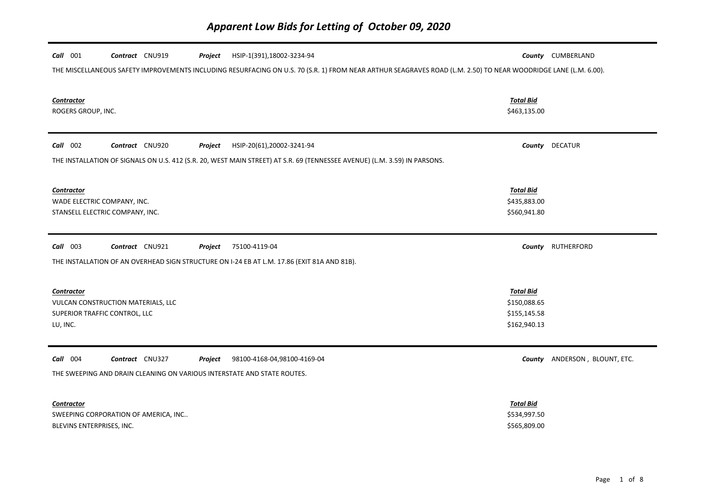| HSIP-1(391),18002-3234-94<br>$Call$ 001<br>Contract CNU919<br>Project<br>THE MISCELLANEOUS SAFETY IMPROVEMENTS INCLUDING RESURFACING ON U.S. 70 (S.R. 1) FROM NEAR ARTHUR SEAGRAVES ROAD (L.M. 2.50) TO NEAR WOODRIDGE LANE (L.M. 6.00). |                                                                  | County CUMBERLAND             |
|------------------------------------------------------------------------------------------------------------------------------------------------------------------------------------------------------------------------------------------|------------------------------------------------------------------|-------------------------------|
| <b>Contractor</b><br>ROGERS GROUP, INC.                                                                                                                                                                                                  | <b>Total Bid</b><br>\$463,135.00                                 |                               |
| Call 002<br>Contract CNU920<br>HSIP-20(61),20002-3241-94<br>Project<br>THE INSTALLATION OF SIGNALS ON U.S. 412 (S.R. 20, WEST MAIN STREET) AT S.R. 69 (TENNESSEE AVENUE) (L.M. 3.59) IN PARSONS.                                         |                                                                  | County DECATUR                |
| <b>Contractor</b><br>WADE ELECTRIC COMPANY, INC.<br>STANSELL ELECTRIC COMPANY, INC.                                                                                                                                                      | <b>Total Bid</b><br>\$435,883.00<br>\$560,941.80                 |                               |
| Contract CNU921<br>75100-4119-04<br>$Call$ 003<br>Project<br>THE INSTALLATION OF AN OVERHEAD SIGN STRUCTURE ON I-24 EB AT L.M. 17.86 (EXIT 81A AND 81B).                                                                                 |                                                                  | County RUTHERFORD             |
| <b>Contractor</b><br>VULCAN CONSTRUCTION MATERIALS, LLC<br>SUPERIOR TRAFFIC CONTROL, LLC<br>LU, INC.                                                                                                                                     | <b>Total Bid</b><br>\$150,088.65<br>\$155,145.58<br>\$162,940.13 |                               |
| Call 004<br>Contract CNU327<br>98100-4168-04,98100-4169-04<br>Project<br>THE SWEEPING AND DRAIN CLEANING ON VARIOUS INTERSTATE AND STATE ROUTES.                                                                                         |                                                                  | County ANDERSON, BLOUNT, ETC. |
| Contractor<br>SWEEPING CORPORATION OF AMERICA, INC<br>BLEVINS ENTERPRISES, INC.                                                                                                                                                          | <b>Total Bid</b><br>\$534,997.50<br>\$565,809.00                 |                               |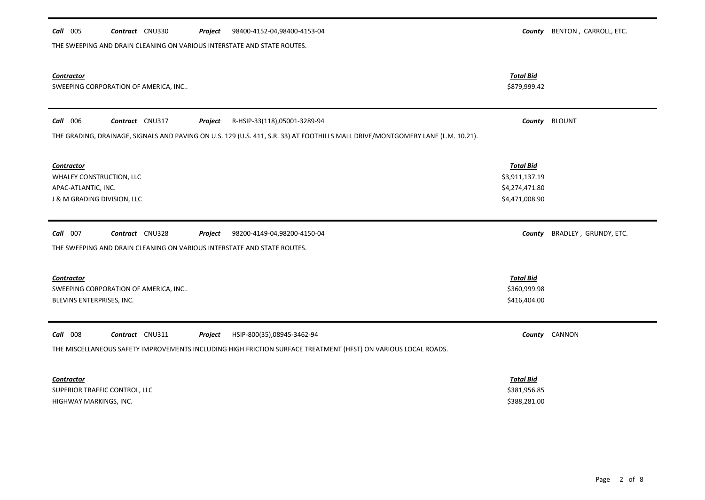| 98400-4152-04,98400-4153-04<br>Call 005<br>Contract CNU330<br>Project                                                                                                                  | County                                                                 | BENTON, CARROLL, ETC. |
|----------------------------------------------------------------------------------------------------------------------------------------------------------------------------------------|------------------------------------------------------------------------|-----------------------|
| THE SWEEPING AND DRAIN CLEANING ON VARIOUS INTERSTATE AND STATE ROUTES.                                                                                                                |                                                                        |                       |
| Contractor<br>SWEEPING CORPORATION OF AMERICA, INC                                                                                                                                     | <b>Total Bid</b><br>\$879,999.42                                       |                       |
| Call 006<br>Contract CNU317<br>Project<br>R-HSIP-33(118),05001-3289-94                                                                                                                 | County                                                                 | <b>BLOUNT</b>         |
| THE GRADING, DRAINAGE, SIGNALS AND PAVING ON U.S. 129 (U.S. 411, S.R. 33) AT FOOTHILLS MALL DRIVE/MONTGOMERY LANE (L.M. 10.21).                                                        |                                                                        |                       |
| <b>Contractor</b><br>WHALEY CONSTRUCTION, LLC<br>APAC-ATLANTIC, INC.<br>J & M GRADING DIVISION, LLC                                                                                    | <b>Total Bid</b><br>\$3,911,137.19<br>\$4,274,471.80<br>\$4,471,008.90 |                       |
| Call 007<br>Contract CNU328<br>98200-4149-04,98200-4150-04<br>Project<br>THE SWEEPING AND DRAIN CLEANING ON VARIOUS INTERSTATE AND STATE ROUTES.                                       | County                                                                 | BRADLEY, GRUNDY, ETC. |
| <b>Contractor</b><br>SWEEPING CORPORATION OF AMERICA, INC<br>BLEVINS ENTERPRISES, INC.                                                                                                 | <b>Total Bid</b><br>\$360,999.98<br>\$416,404.00                       |                       |
| Call 008<br>Contract CNU311<br>Project<br>HSIP-800(35),08945-3462-94<br>THE MISCELLANEOUS SAFETY IMPROVEMENTS INCLUDING HIGH FRICTION SURFACE TREATMENT (HFST) ON VARIOUS LOCAL ROADS. |                                                                        | County CANNON         |
| <b>Contractor</b><br>SUPERIOR TRAFFIC CONTROL, LLC                                                                                                                                     | <b>Total Bid</b><br>\$381,956.85                                       |                       |
| HIGHWAY MARKINGS, INC.                                                                                                                                                                 | \$388,281.00                                                           |                       |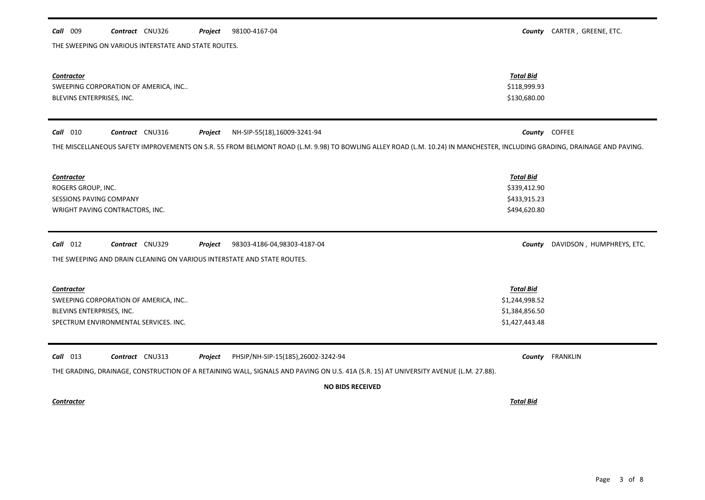# *Contractor Total Bid* SWEEPING CORPORATION OF AMERICA, INC.. \$118,999.93 BLEVINS ENTERPRISES, INC. \$130,680.00 *Call* 010 *Contract* CNU316 *Project County* COFFEE NH-SIP-55(18),16009-3241-94 THE MISCELLANEOUS SAFETY IMPROVEMENTS ON S.R. 55 FROM BELMONT ROAD (L.M. 9.98) TO BOWLING ALLEY ROAD (L.M. 10.24) IN MANCHESTER, INCLUDING GRADING, DRAINAGE AND PAVING. *Contractor Total Bid* ROGERS GROUP, INC. \$339,412.90 SESSIONS PAVING COMPANY **\$433,915.23** WRIGHT PAVING CONTRACTORS, INC. And the contractors, inc. the contractors of the contractors, inc. the contractors of the contractors, inc. the contractors of the contractors, inc. the contractors of the contractors of the *Call* 012 *Contract* CNU329 *Project County* DAVIDSON , HUMPHREYS, ETC. THE SWEEPING AND DRAIN CLEANING ON VARIOUS INTERSTATE AND STATE ROUTES. 98303-4186-04,98303-4187-04 *Contractor Total Bid* SWEEPING CORPORATION OF AMERICA, INC.. \$1,244,998.52 BLEVINS ENTERPRISES, INC. \$1,384,856.50 SPECTRUM ENVIRONMENTAL SERVICES. INC. \$1,427,443.48

*Call* 013 *Contract* CNU313 *Project County* FRANKLIN PHSIP/NH-SIP-15(185),26002-3242-94

THE SWEEPING ON VARIOUS INTERSTATE AND STATE ROUTES.

THE GRADING, DRAINAGE, CONSTRUCTION OF A RETAINING WALL, SIGNALS AND PAVING ON U.S. 41A (S.R. 15) AT UNIVERSITY AVENUE (L.M. 27.88).

98100-4167-04

# **NO BIDS RECEIVED**

## *Contractor Total Bid*

*Call* 009 *Contract* CNU326 *Project County* CARTER , GREENE, ETC.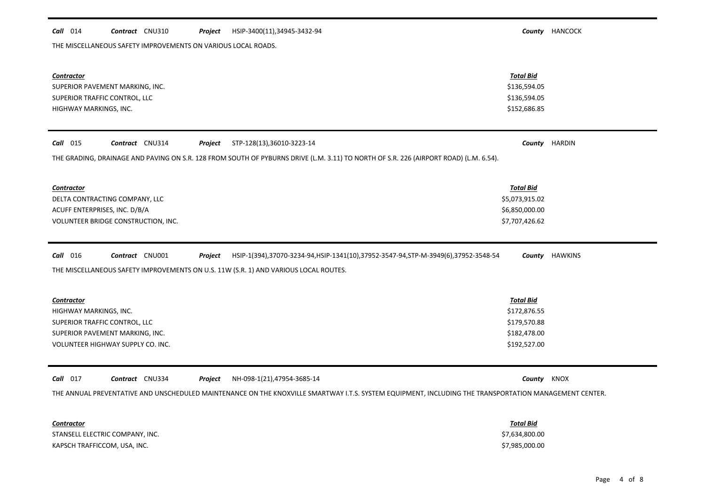#### *Call* 014 *Contract* CNU310 *Project County* HANCOCK HSIP-3400(11),34945-3432-94

THE MISCELLANEOUS SAFETY IMPROVEMENTS ON VARIOUS LOCAL ROADS.

| <b>Contractor</b><br>SUPERIOR PAVEMENT MARKING, INC.<br>SUPERIOR TRAFFIC CONTROL, LLC<br>HIGHWAY MARKINGS, INC.                                                                                                                | <b>Total Bid</b><br>\$136,594.05<br>\$136,594.05<br>\$152,686.85                 |                |
|--------------------------------------------------------------------------------------------------------------------------------------------------------------------------------------------------------------------------------|----------------------------------------------------------------------------------|----------------|
| Call 015<br>Contract CNU314<br>STP-128(13),36010-3223-14<br>Project                                                                                                                                                            |                                                                                  | County HARDIN  |
| THE GRADING, DRAINAGE AND PAVING ON S.R. 128 FROM SOUTH OF PYBURNS DRIVE (L.M. 3.11) TO NORTH OF S.R. 226 (AIRPORT ROAD) (L.M. 6.54).                                                                                          |                                                                                  |                |
| <b>Contractor</b><br>DELTA CONTRACTING COMPANY, LLC<br>ACUFF ENTERPRISES, INC. D/B/A<br>VOLUNTEER BRIDGE CONSTRUCTION, INC.                                                                                                    | <b>Total Bid</b><br>\$5,073,915.02<br>\$6,850,000.00<br>\$7,707,426.62           |                |
| Call 016<br>Contract CNU001<br>Project<br>HSIP-1(394),37070-3234-94,HSIP-1341(10),37952-3547-94,STP-M-3949(6),37952-3548-54<br>THE MISCELLANEOUS SAFETY IMPROVEMENTS ON U.S. 11W (S.R. 1) AND VARIOUS LOCAL ROUTES.            |                                                                                  | County HAWKINS |
| <b>Contractor</b><br>HIGHWAY MARKINGS, INC.<br>SUPERIOR TRAFFIC CONTROL, LLC<br>SUPERIOR PAVEMENT MARKING, INC.<br>VOLUNTEER HIGHWAY SUPPLY CO. INC.                                                                           | <b>Total Bid</b><br>\$172,876.55<br>\$179,570.88<br>\$182,478.00<br>\$192,527.00 |                |
| NH-098-1(21),47954-3685-14<br>Call 017<br>Contract CNU334<br>Project<br>THE ANNUAL PREVENTATIVE AND UNSCHEDULED MAINTENANCE ON THE KNOXVILLE SMARTWAY I.T.S. SYSTEM EQUIPMENT, INCLUDING THE TRANSPORTATION MANAGEMENT CENTER. | County KNOX                                                                      |                |
| <b>Contractor</b><br>STANSELL ELECTRIC COMPANY, INC.<br>KAPSCH TRAFFICCOM, USA, INC.                                                                                                                                           | <b>Total Bid</b><br>\$7,634,800.00<br>\$7,985,000.00                             |                |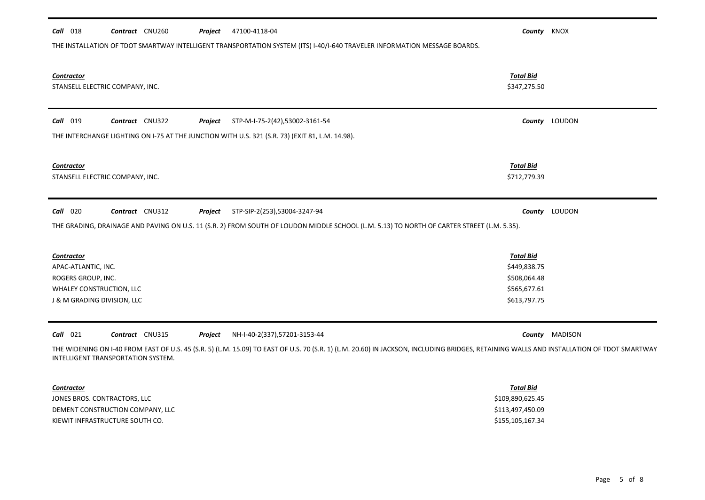| 47100-4118-04<br>$Call$ 018<br>Contract CNU260<br>Project                                                                                                                                                                                                                                                   | County KNOX                                                                      |                |
|-------------------------------------------------------------------------------------------------------------------------------------------------------------------------------------------------------------------------------------------------------------------------------------------------------------|----------------------------------------------------------------------------------|----------------|
| THE INSTALLATION OF TDOT SMARTWAY INTELLIGENT TRANSPORTATION SYSTEM (ITS) I-40/I-640 TRAVELER INFORMATION MESSAGE BOARDS.                                                                                                                                                                                   |                                                                                  |                |
| <b>Contractor</b><br>STANSELL ELECTRIC COMPANY, INC.                                                                                                                                                                                                                                                        | <b>Total Bid</b><br>\$347,275.50                                                 |                |
| <b>Call</b> 019<br>Contract CNU322<br>STP-M-I-75-2(42),53002-3161-54<br>Project                                                                                                                                                                                                                             |                                                                                  | County LOUDON  |
| THE INTERCHANGE LIGHTING ON I-75 AT THE JUNCTION WITH U.S. 321 (S.R. 73) (EXIT 81, L.M. 14.98).                                                                                                                                                                                                             |                                                                                  |                |
| <b>Contractor</b><br>STANSELL ELECTRIC COMPANY, INC.                                                                                                                                                                                                                                                        | <b>Total Bid</b><br>\$712,779.39                                                 |                |
| Contract CNU312<br>$Call$ 020<br>Project<br>STP-SIP-2(253),53004-3247-94                                                                                                                                                                                                                                    |                                                                                  | County LOUDON  |
| THE GRADING, DRAINAGE AND PAVING ON U.S. 11 (S.R. 2) FROM SOUTH OF LOUDON MIDDLE SCHOOL (L.M. 5.13) TO NORTH OF CARTER STREET (L.M. 5.35).                                                                                                                                                                  |                                                                                  |                |
| <b>Contractor</b><br>APAC-ATLANTIC, INC.<br>ROGERS GROUP, INC.<br>WHALEY CONSTRUCTION, LLC<br>J & M GRADING DIVISION, LLC                                                                                                                                                                                   | <b>Total Bid</b><br>\$449,838.75<br>\$508,064.48<br>\$565,677.61<br>\$613,797.75 |                |
| $Call$ 021<br>Contract CNU315<br>NH-I-40-2(337),57201-3153-44<br>Project<br>THE WIDENING ON I-40 FROM EAST OF U.S. 45 (S.R. 5) (L.M. 15.09) TO EAST OF U.S. 70 (S.R. 1) (L.M. 20.60) IN JACKSON, INCLUDING BRIDGES, RETAINING WALLS AND INSTALLATION OF TDOT SMARTWAY<br>INTELLIGENT TRANSPORTATION SYSTEM. |                                                                                  | County MADISON |
|                                                                                                                                                                                                                                                                                                             |                                                                                  |                |
| <b>Contractor</b>                                                                                                                                                                                                                                                                                           | <b>Total Bid</b>                                                                 |                |
| JONES BROS. CONTRACTORS, LLC                                                                                                                                                                                                                                                                                | \$109,890,625.45                                                                 |                |
| DEMENT CONSTRUCTION COMPANY, LLC<br>KIEWIT INFRASTRUCTURE SOUTH CO.<br>\$155,105,167.34                                                                                                                                                                                                                     | \$113,497,450.09                                                                 |                |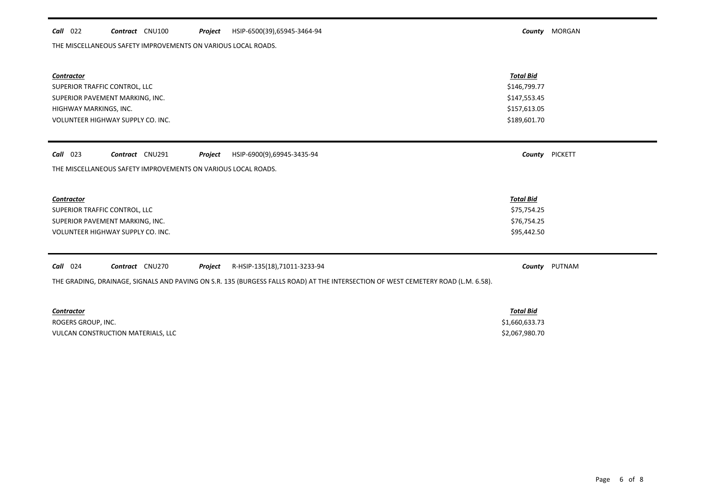## *Call* 022 *Contract* CNU100 *Project County* MORGAN HSIP-6500(39),65945-3464-94

THE MISCELLANEOUS SAFETY IMPROVEMENTS ON VARIOUS LOCAL ROADS.

| Contractor<br>SUPERIOR TRAFFIC CONTROL, LLC<br>SUPERIOR PAVEMENT MARKING, INC.<br>HIGHWAY MARKINGS, INC.<br>VOLUNTEER HIGHWAY SUPPLY CO. INC. | <b>Total Bid</b><br>\$146,799.77<br>\$147,553.45<br>\$157,613.05<br>\$189,601.70 |                |
|-----------------------------------------------------------------------------------------------------------------------------------------------|----------------------------------------------------------------------------------|----------------|
| Contract CNU291<br>$Call$ 023<br>HSIP-6900(9),69945-3435-94<br>Project                                                                        |                                                                                  | County PICKETT |
| THE MISCELLANEOUS SAFETY IMPROVEMENTS ON VARIOUS LOCAL ROADS.                                                                                 |                                                                                  |                |
|                                                                                                                                               |                                                                                  |                |
| <b>Contractor</b>                                                                                                                             | <b>Total Bid</b>                                                                 |                |
| SUPERIOR TRAFFIC CONTROL, LLC                                                                                                                 | \$75,754.25                                                                      |                |
| SUPERIOR PAVEMENT MARKING, INC.                                                                                                               | \$76,754.25                                                                      |                |
| VOLUNTEER HIGHWAY SUPPLY CO. INC.                                                                                                             | \$95,442.50                                                                      |                |
|                                                                                                                                               |                                                                                  |                |
| Call<br>024<br>Contract CNU270<br>Project<br>R-HSIP-135(18),71011-3233-94                                                                     | County                                                                           | PUTNAM         |
| THE GRADING, DRAINAGE, SIGNALS AND PAVING ON S.R. 135 (BURGESS FALLS ROAD) AT THE INTERSECTION OF WEST CEMETERY ROAD (L.M. 6.58).             |                                                                                  |                |
|                                                                                                                                               |                                                                                  |                |
| <b>Contractor</b>                                                                                                                             | <b>Total Bid</b>                                                                 |                |

ROGERS GROUP, INC. \$1,660,633.73 VULCAN CONSTRUCTION MATERIALS, LLC **EXECUTE EN EXECUTA SERVERON SERVERON SERVERON SERVERON SOLUTION** \$2,067,980.70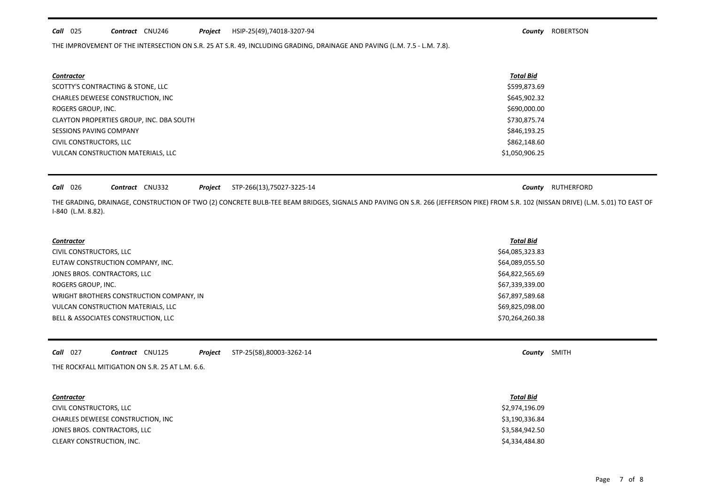#### *Call* 025 *Contract* CNU246 *Project County* ROBERTSON HSIP-25(49),74018-3207-94

THE IMPROVEMENT OF THE INTERSECTION ON S.R. 25 AT S.R. 49, INCLUDING GRADING, DRAINAGE AND PAVING (L.M. 7.5 - L.M. 7.8).

| <b>Contractor</b>                        | <b>Total Bid</b> |
|------------------------------------------|------------------|
| SCOTTY'S CONTRACTING & STONE, LLC        | \$599,873.69     |
| CHARLES DEWEESE CONSTRUCTION, INC        | \$645,902.32     |
| ROGERS GROUP, INC.                       | \$690,000.00     |
| CLAYTON PROPERTIES GROUP, INC. DBA SOUTH | \$730,875.74     |
| SESSIONS PAVING COMPANY                  | \$846,193.25     |
| CIVIL CONSTRUCTORS, LLC                  | \$862,148.60     |
| VULCAN CONSTRUCTION MATERIALS, LLC       | \$1,050,906.25   |

| $Call$ 026 |  | <b>Contract</b> CNU332 |  |  | <b>Project</b> STP-266(13), 75027-3225-14 |
|------------|--|------------------------|--|--|-------------------------------------------|
|------------|--|------------------------|--|--|-------------------------------------------|

**County** RUTHERFORD

THE GRADING, DRAINAGE, CONSTRUCTION OF TWO (2) CONCRETE BULB-TEE BEAM BRIDGES, SIGNALS AND PAVING ON S.R. 266 (JEFFERSON PIKE) FROM S.R. 102 (NISSAN DRIVE) (L.M. 5.01) TO EAST OF I-840 (L.M. 8.82).

| <b>Contractor</b>                        | <b>Total Bid</b> |
|------------------------------------------|------------------|
| CIVIL CONSTRUCTORS, LLC                  | \$64,085,323.83  |
| EUTAW CONSTRUCTION COMPANY, INC.         | \$64,089,055.50  |
| JONES BROS. CONTRACTORS, LLC             | \$64,822,565.69  |
| ROGERS GROUP, INC.                       | \$67,339,339.00  |
| WRIGHT BROTHERS CONSTRUCTION COMPANY, IN | \$67,897,589.68  |
| VULCAN CONSTRUCTION MATERIALS, LLC       | \$69,825,098.00  |
| BELL & ASSOCIATES CONSTRUCTION, LLC      | \$70,264,260.38  |
|                                          |                  |

| $Call$ 027 |  | Contract | <b>CNU125</b> | Project | STP-25(58),80003-3262-14<br>$\sim$ $\sim$ | Countv | <b>SMITH</b> |
|------------|--|----------|---------------|---------|-------------------------------------------|--------|--------------|
|------------|--|----------|---------------|---------|-------------------------------------------|--------|--------------|

THE ROCKFALL MITIGATION ON S.R. 25 AT L.M. 6.6.

| <b>Contractor</b>                 | <b>Total Bid</b> |
|-----------------------------------|------------------|
| CIVIL CONSTRUCTORS, LLC           | \$2,974,196.09   |
| CHARLES DEWEESE CONSTRUCTION, INC | \$3,190,336.84   |
| JONES BROS. CONTRACTORS, LLC      | \$3,584,942.50   |
| CLEARY CONSTRUCTION, INC.         | \$4,334,484.80   |